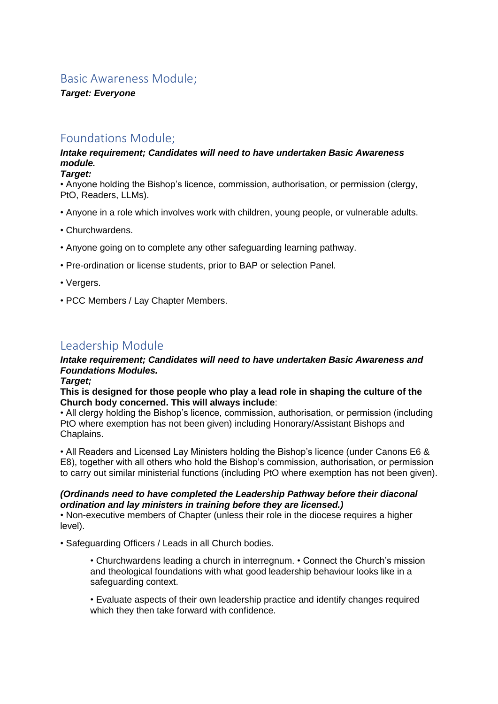# Basic Awareness Module;

*Target: Everyone*

# Foundations Module;

## *Intake requirement; Candidates will need to have undertaken Basic Awareness module.*

#### *Target:*

• Anyone holding the Bishop's licence, commission, authorisation, or permission (clergy, PtO, Readers, LLMs).

- Anyone in a role which involves work with children, young people, or vulnerable adults.
- Churchwardens.
- Anyone going on to complete any other safeguarding learning pathway.
- Pre-ordination or license students, prior to BAP or selection Panel.
- Vergers.
- PCC Members / Lay Chapter Members.

# Leadership Module

## *Intake requirement; Candidates will need to have undertaken Basic Awareness and Foundations Modules.*

#### *Target;*

#### **This is designed for those people who play a lead role in shaping the culture of the Church body concerned. This will always include**:

• All clergy holding the Bishop's licence, commission, authorisation, or permission (including PtO where exemption has not been given) including Honorary/Assistant Bishops and Chaplains.

• All Readers and Licensed Lay Ministers holding the Bishop's licence (under Canons E6 & E8), together with all others who hold the Bishop's commission, authorisation, or permission to carry out similar ministerial functions (including PtO where exemption has not been given).

### *(Ordinands need to have completed the Leadership Pathway before their diaconal ordination and lay ministers in training before they are licensed.)*

• Non-executive members of Chapter (unless their role in the diocese requires a higher level).

• Safeguarding Officers / Leads in all Church bodies.

• Churchwardens leading a church in interregnum. • Connect the Church's mission and theological foundations with what good leadership behaviour looks like in a safeguarding context.

• Evaluate aspects of their own leadership practice and identify changes required which they then take forward with confidence.